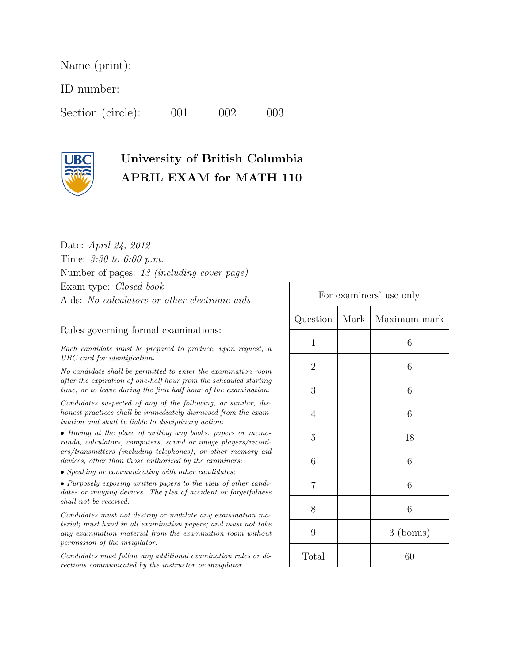Name (print):

ID number:

Section (circle): 001 002 003



## University of British Columbia APRIL EXAM for MATH 110

Date: April 24, 2012 Time: 3:30 to 6:00 p.m. Number of pages: 13 (including cover page) Exam type: Closed book Aids: No calculators or other electronic aids

## Rules governing formal examinations:

Each candidate must be prepared to produce, upon request, a UBC card for identification.

No candidate shall be permitted to enter the examination room after the expiration of one-half hour from the scheduled starting time, or to leave during the first half hour of the examination.

Candidates suspected of any of the following, or similar, dishonest practices shall be immediately dismissed from the examination and shall be liable to disciplinary action:

• Having at the place of writing any books, papers or memoranda, calculators, computers, sound or image players/recorders/transmitters (including telephones), or other memory aid devices, other than those authorized by the examiners;

• Speaking or communicating with other candidates;

• Purposely exposing written papers to the view of other candidates or imaging devices. The plea of accident or forgetfulness shall not be received.

Candidates must not destroy or mutilate any examination material; must hand in all examination papers; and must not take any examination material from the examination room without permission of the invigilator.

Candidates must follow any additional examination rules or directions communicated by the instructor or invigilator.

| For examiners' use only |      |              |
|-------------------------|------|--------------|
| Question                | Mark | Maximum mark |
| $\mathbf{1}$            |      | 6            |
| $\overline{2}$          |      | 6            |
| 3                       |      | 6            |
| $\overline{4}$          |      | 6            |
| 5                       |      | 18           |
| 6                       |      | 6            |
| $\overline{7}$          |      | 6            |
| 8                       |      | 6            |
| 9                       |      | 3 (bonus)    |
| Total                   |      | 60           |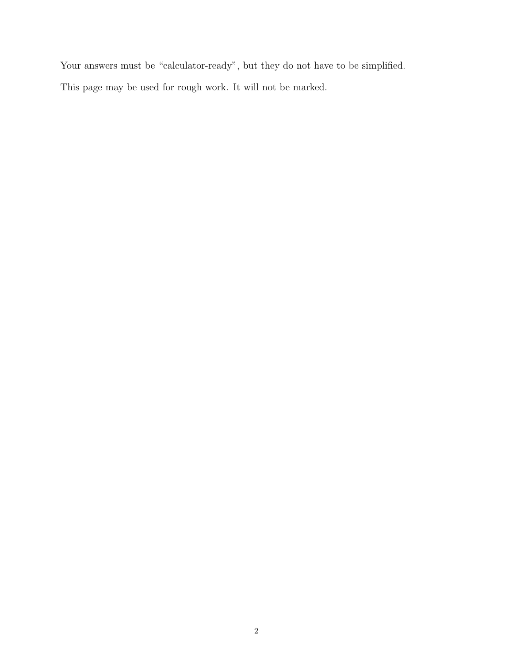Your answers must be "calculator-ready", but they do not have to be simplified. This page may be used for rough work. It will not be marked.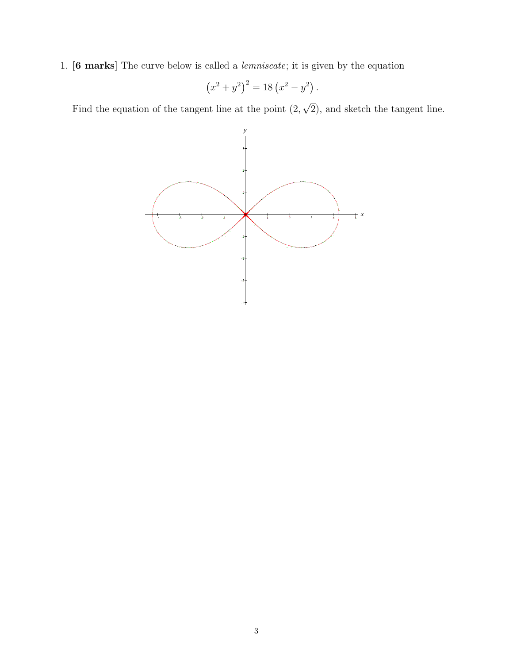1. [6 marks] The curve below is called a lemniscate; it is given by the equation

$$
(x^2 + y^2)^2 = 18\left(x^2 - y^2\right).
$$

Find the equation of the tangent line at the point (2, √ 2), and sketch the tangent line.

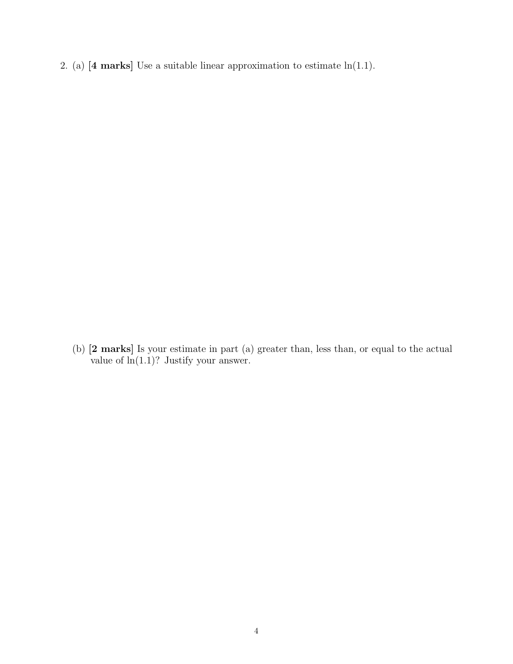2. (a)  $[4 \text{ marks}]$  Use a suitable linear approximation to estimate  $\ln(1.1)$ .

2. (b) [2 marks] Is your estimate in part (a) greater than, less than, or equal to the actual value of  $ln(1.1)$ ? Justify your answer.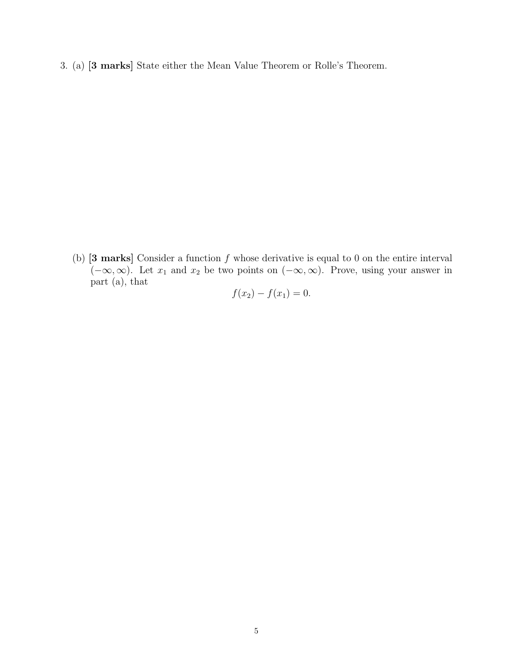3. (a) [3 marks] State either the Mean Value Theorem or Rolle's Theorem.

(b)  $[3 \text{ marks}]$  Consider a function f whose derivative is equal to 0 on the entire interval  $(-\infty,\infty)$ . Let  $x_1$  and  $x_2$  be two points on  $(-\infty,\infty)$ . Prove, using your answer in part (a), that

$$
f(x_2) - f(x_1) = 0.
$$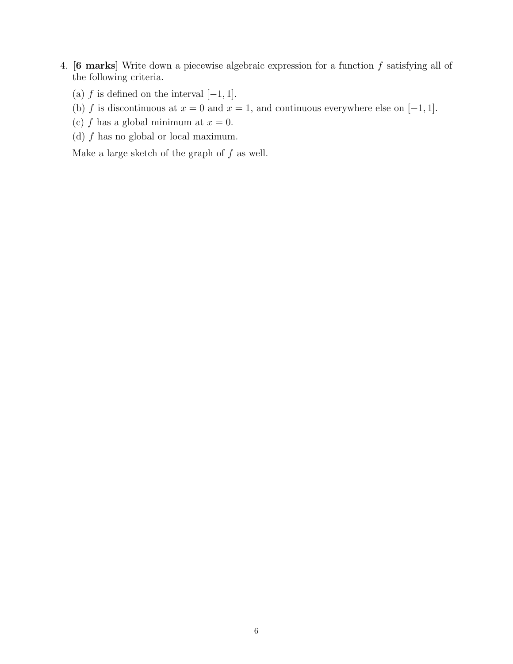- 4. **[6 marks]** Write down a piecewise algebraic expression for a function  $f$  satisfying all of the following criteria.
	- (a)  $f$  is defined on the interval  $[-1, 1]$ .
	- (b) f is discontinuous at  $x = 0$  and  $x = 1$ , and continuous everywhere else on [-1, 1].
	- (c) f has a global minimum at  $x = 0$ .
	- (d)  $f$  has no global or local maximum.

Make a large sketch of the graph of  $f$  as well.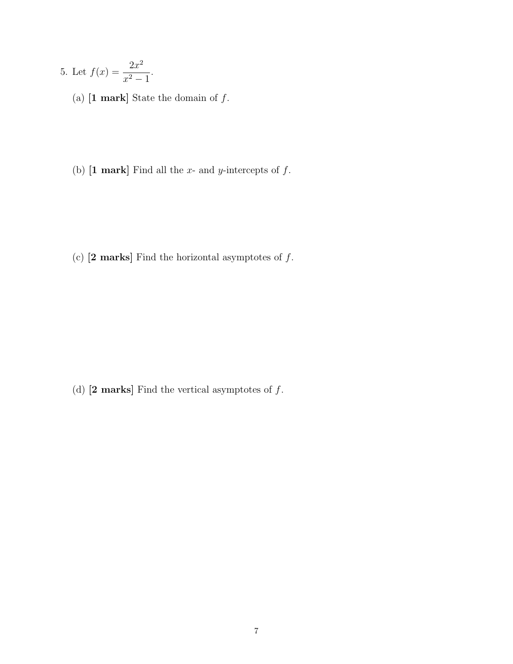- 5. Let  $f(x) = \frac{2x^2}{x}$  $\frac{2x}{x^2-1}.$ 
	- (a)  $\bm{[1\text{ mark}]}$  State the domain of  $f.$
	- (b)  $[1 \text{ mark}]$  Find all the x- and y-intercepts of f.

(c)  $[2 \text{ marks}]$  Find the horizontal asymptotes of  $f$ .

(d)  $[2 \text{ marks}]$  Find the vertical asymptotes of  $f$ .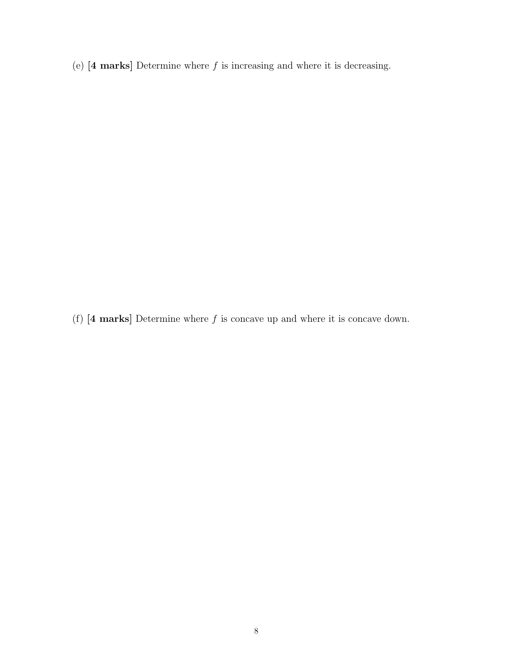(e)  $[4 \text{ marks}]$  Determine where f is increasing and where it is decreasing.

(f)  $[4 \text{ marks}]$  Determine where f is concave up and where it is concave down.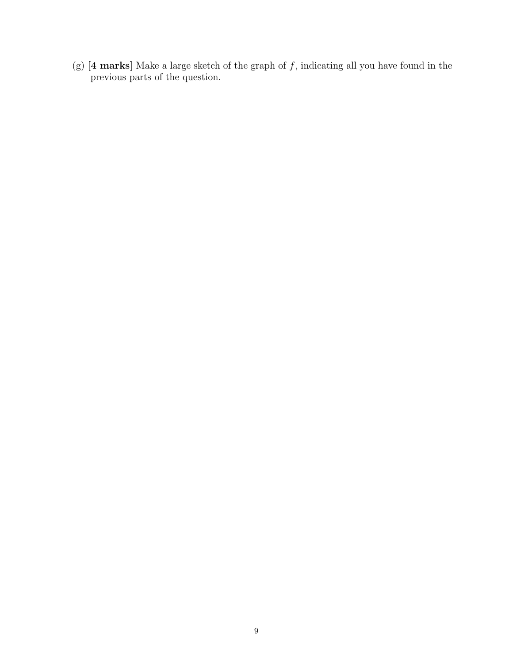(g)  $[4 \text{ marks}]$  Make a large sketch of the graph of f, indicating all you have found in the previous parts of the question.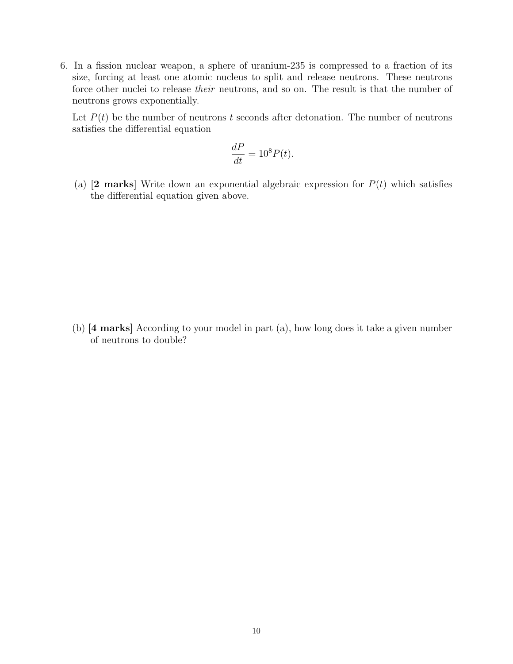6. In a fission nuclear weapon, a sphere of uranium-235 is compressed to a fraction of its size, forcing at least one atomic nucleus to split and release neutrons. These neutrons force other nuclei to release *their* neutrons, and so on. The result is that the number of neutrons grows exponentially.

Let  $P(t)$  be the number of neutrons t seconds after detonation. The number of neutrons satisfies the differential equation

$$
\frac{dP}{dt} = 10^8 P(t).
$$

(a)  $[2 \text{ marks}]$  Write down an exponential algebraic expression for  $P(t)$  which satisfies the differential equation given above.

(b)  $[4 \text{ marks}]$  According to your model in part  $(a)$ , how long does it take a given number of neutrons to double?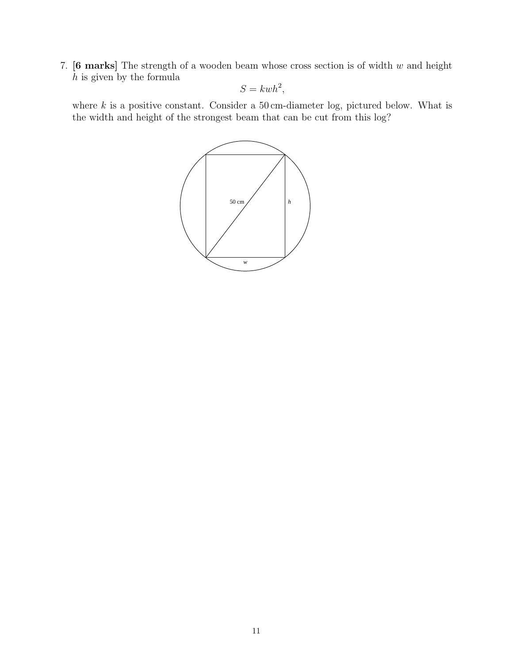7.  $[6$  marks] The strength of a wooden beam whose cross section is of width  $w$  and height  $h$  is given by the formula

$$
S = kwh^2,
$$

where  $k$  is a positive constant. Consider a 50 cm-diameter log, pictured below. What is the width and height of the strongest beam that can be cut from this log?

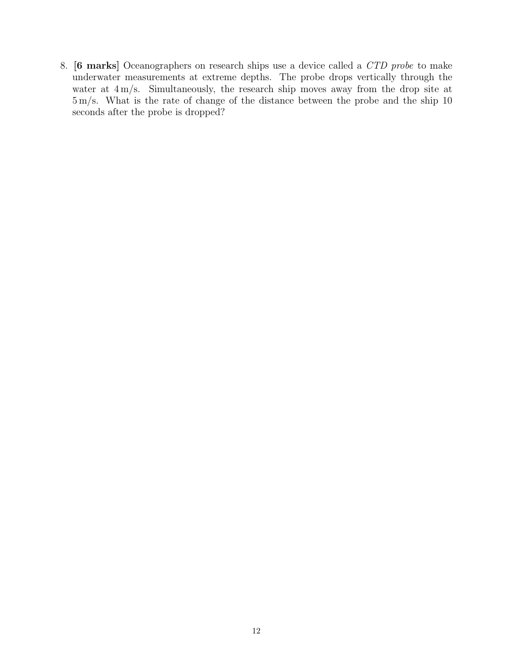8. [6 marks] Oceanographers on research ships use a device called a CTD probe to make underwater measurements at extreme depths. The probe drops vertically through the water at  $4 \text{ m/s}$ . Simultaneously, the research ship moves away from the drop site at 5 m/s. What is the rate of change of the distance between the probe and the ship 10 seconds after the probe is dropped?